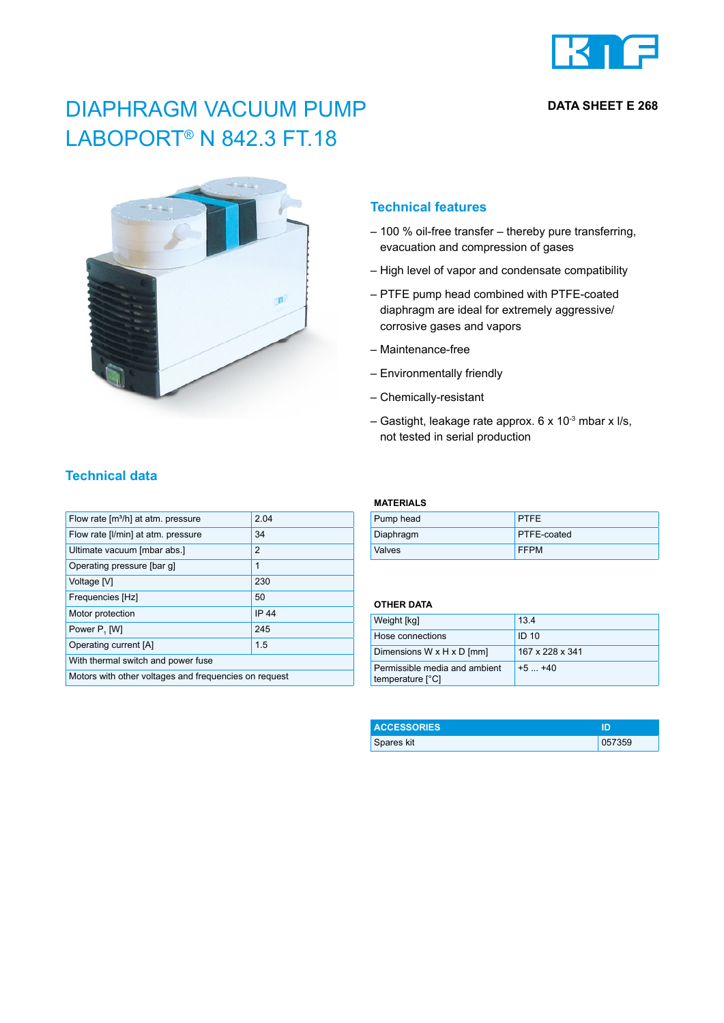

**DATA SHEET E 268**

# DIAPHRAGM VACUUM PUMP LABOPORT® N 842.3 FT.18



### **Technical features**

- 100 % oil-free transfer thereby pure transferring, evacuation and compression of gases
- High level of vapor and condensate compatibility
- PTFE pump head combined with PTFE-coated diaphragm are ideal for extremely aggressive/ corrosive gases and vapors
- Maintenance-free
- Environmentally friendly
- Chemically-resistant
- Gastight, leakage rate approx.  $6 \times 10^{-3}$  mbar x l/s, not tested in serial production

## **Technical data**

| Flow rate [m <sup>3</sup> /h] at atm. pressure        | 2.04         |  |
|-------------------------------------------------------|--------------|--|
| Flow rate [I/min] at atm. pressure                    | 34           |  |
| Ultimate vacuum [mbar abs.]                           | 2            |  |
| Operating pressure [bar g]                            | 1            |  |
| Voltage [V]                                           | 230          |  |
| Frequencies [Hz]                                      | 50           |  |
| Motor protection                                      | <b>IP 44</b> |  |
| Power P, [W]                                          | 245          |  |
| Operating current [A]                                 | 1.5          |  |
| With thermal switch and power fuse                    |              |  |
| Motors with other voltages and frequencies on request |              |  |

#### **MATERIALS**

| Pump head | <b>PTFE</b>        |
|-----------|--------------------|
| Diaphragm | <b>PTFE-coated</b> |
| Valves    | <b>FFPM</b>        |

#### **OTHER DATA**

| Weight [kg]                                       | 13.4            |
|---------------------------------------------------|-----------------|
| Hose connections                                  | <b>ID 10</b>    |
| Dimensions W x H x D [mm]                         | 167 x 228 x 341 |
| Permissible media and ambient<br>temperature [°C] | $+5$ $+40$      |

| <b>ACCESSORIES</b> | חו     |
|--------------------|--------|
| Spares kit         | 057359 |